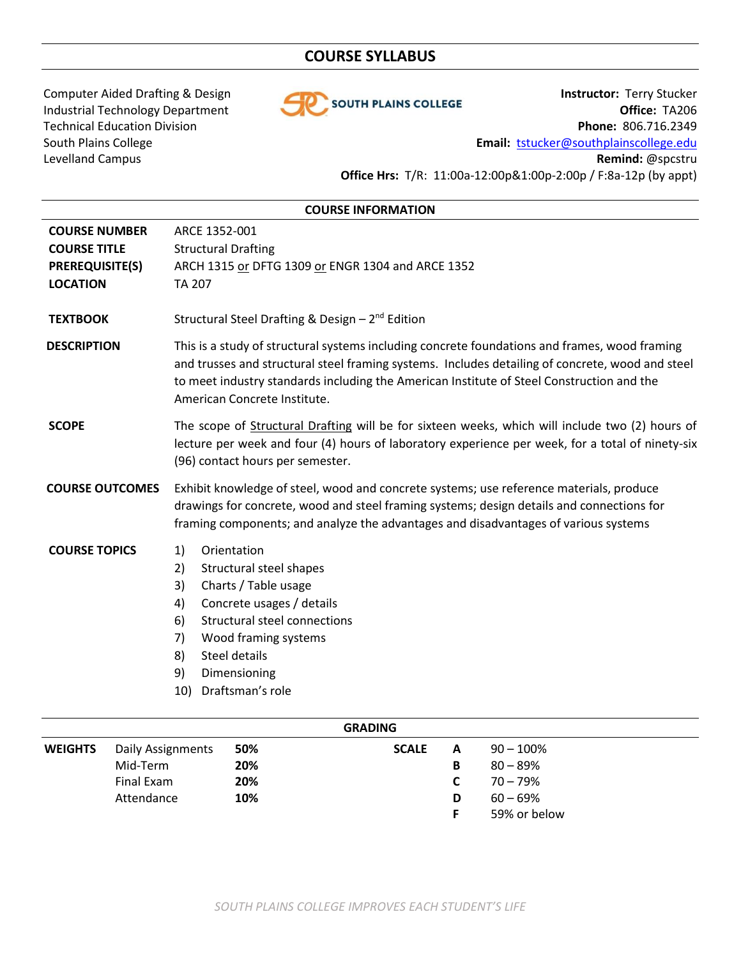# **COURSE SYLLABUS**



Computer Aided Drafting & Design **Instructor:** Terry Stucker<br>Industrial Technology Department **Industrial Technology Department** Industrial Technology Department **Office: TA206** Technical Education Division **Phone:** 806.716.2349 South Plains College **Email:** [tstucker@southplainscollege.edu](mailto:tstucker@southplainscollege.edu) Levelland Campus **Remind:** @spcstru **Office Hrs:** T/R: 11:00a-12:00p&1:00p-2:00p / F:8a-12p (by appt)

| <b>COURSE INFORMATION</b>                                                                |                                                                                                                                                                                                                                                                                                                                |  |  |  |  |
|------------------------------------------------------------------------------------------|--------------------------------------------------------------------------------------------------------------------------------------------------------------------------------------------------------------------------------------------------------------------------------------------------------------------------------|--|--|--|--|
| <b>COURSE NUMBER</b><br><b>COURSE TITLE</b><br><b>PREREQUISITE(S)</b><br><b>LOCATION</b> | ARCE 1352-001<br><b>Structural Drafting</b><br>ARCH 1315 or DFTG 1309 or ENGR 1304 and ARCE 1352<br><b>TA 207</b>                                                                                                                                                                                                              |  |  |  |  |
| <b>TEXTBOOK</b>                                                                          | Structural Steel Drafting & Design $-2^{nd}$ Edition                                                                                                                                                                                                                                                                           |  |  |  |  |
| <b>DESCRIPTION</b>                                                                       | This is a study of structural systems including concrete foundations and frames, wood framing<br>and trusses and structural steel framing systems. Includes detailing of concrete, wood and steel<br>to meet industry standards including the American Institute of Steel Construction and the<br>American Concrete Institute. |  |  |  |  |
| <b>SCOPE</b>                                                                             | The scope of Structural Drafting will be for sixteen weeks, which will include two (2) hours of<br>lecture per week and four (4) hours of laboratory experience per week, for a total of ninety-six<br>(96) contact hours per semester.                                                                                        |  |  |  |  |
| <b>COURSE OUTCOMES</b>                                                                   | Exhibit knowledge of steel, wood and concrete systems; use reference materials, produce<br>drawings for concrete, wood and steel framing systems; design details and connections for<br>framing components; and analyze the advantages and disadvantages of various systems                                                    |  |  |  |  |
| <b>COURSE TOPICS</b>                                                                     | 1)<br>Orientation<br>Structural steel shapes<br>2)<br>Charts / Table usage<br>3)<br>Concrete usages / details<br>4)<br><b>Structural steel connections</b><br>6)<br>Wood framing systems<br>7)<br>Steel details<br>8)<br>9)<br>Dimensioning<br>Draftsman's role<br>10)                                                         |  |  |  |  |
|                                                                                          |                                                                                                                                                                                                                                                                                                                                |  |  |  |  |

| <b>GRADING</b> |                   |     |              |   |              |  |  |
|----------------|-------------------|-----|--------------|---|--------------|--|--|
| <b>WEIGHTS</b> | Daily Assignments | 50% | <b>SCALE</b> | А | $90 - 100\%$ |  |  |
|                | Mid-Term          | 20% |              | в | $80 - 89\%$  |  |  |
|                | Final Exam        | 20% |              |   | $70 - 79%$   |  |  |
|                | Attendance        | 10% |              | D | $60 - 69\%$  |  |  |
|                |                   |     |              |   | 59% or below |  |  |
|                |                   |     |              |   |              |  |  |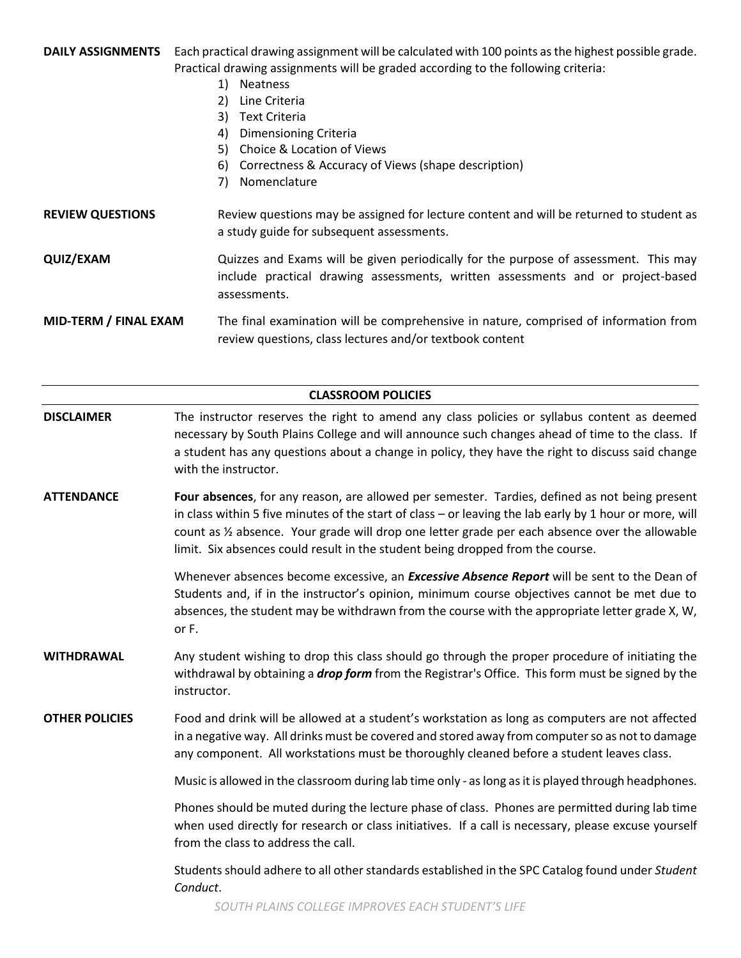**DAILY ASSIGNMENTS** Each practical drawing assignment will be calculated with 100 points as the highest possible grade. Practical drawing assignments will be graded according to the following criteria:

- 1) Neatness
- 2) Line Criteria
- 3) Text Criteria
- 4) Dimensioning Criteria
- 5) Choice & Location of Views
- 6) Correctness & Accuracy of Views (shape description)
- 7) Nomenclature

**REVIEW QUESTIONS** Review questions may be assigned for lecture content and will be returned to student as a study guide for subsequent assessments.

**QUIZ/EXAM** Quizzes and Exams will be given periodically for the purpose of assessment. This may include practical drawing assessments, written assessments and or project-based assessments.

**MID-TERM / FINAL EXAM** The final examination will be comprehensive in nature, comprised of information from review questions, class lectures and/or textbook content

| <b>CLASSROOM POLICIES</b> |                                                                                                                                                                                                                                                                                                                                                                                                |  |  |  |  |
|---------------------------|------------------------------------------------------------------------------------------------------------------------------------------------------------------------------------------------------------------------------------------------------------------------------------------------------------------------------------------------------------------------------------------------|--|--|--|--|
| <b>DISCLAIMER</b>         | The instructor reserves the right to amend any class policies or syllabus content as deemed<br>necessary by South Plains College and will announce such changes ahead of time to the class. If<br>a student has any questions about a change in policy, they have the right to discuss said change<br>with the instructor.                                                                     |  |  |  |  |
| <b>ATTENDANCE</b>         | Four absences, for any reason, are allowed per semester. Tardies, defined as not being present<br>in class within 5 five minutes of the start of class - or leaving the lab early by 1 hour or more, will<br>count as 1/2 absence. Your grade will drop one letter grade per each absence over the allowable<br>limit. Six absences could result in the student being dropped from the course. |  |  |  |  |
|                           | Whenever absences become excessive, an <i>Excessive Absence Report</i> will be sent to the Dean of<br>Students and, if in the instructor's opinion, minimum course objectives cannot be met due to<br>absences, the student may be withdrawn from the course with the appropriate letter grade X, W,<br>or F.                                                                                  |  |  |  |  |
| <b>WITHDRAWAL</b>         | Any student wishing to drop this class should go through the proper procedure of initiating the<br>withdrawal by obtaining a <i>drop form</i> from the Registrar's Office. This form must be signed by the<br>instructor.                                                                                                                                                                      |  |  |  |  |
| <b>OTHER POLICIES</b>     | Food and drink will be allowed at a student's workstation as long as computers are not affected<br>in a negative way. All drinks must be covered and stored away from computer so as not to damage<br>any component. All workstations must be thoroughly cleaned before a student leaves class.                                                                                                |  |  |  |  |
|                           | Music is allowed in the classroom during lab time only - as long as it is played through headphones.                                                                                                                                                                                                                                                                                           |  |  |  |  |
|                           | Phones should be muted during the lecture phase of class. Phones are permitted during lab time<br>when used directly for research or class initiatives. If a call is necessary, please excuse yourself<br>from the class to address the call.                                                                                                                                                  |  |  |  |  |
|                           | Students should adhere to all other standards established in the SPC Catalog found under Student<br>Conduct.                                                                                                                                                                                                                                                                                   |  |  |  |  |